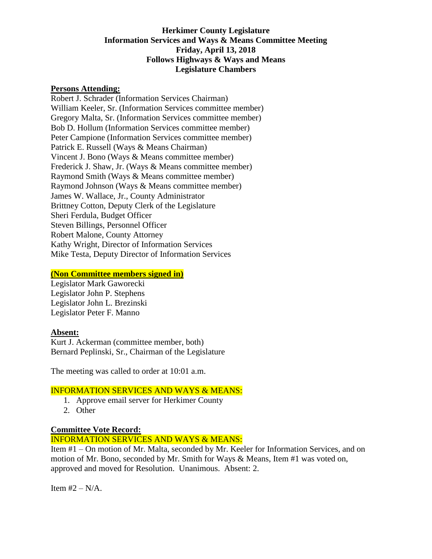# **Herkimer County Legislature Information Services and Ways & Means Committee Meeting Friday, April 13, 2018 Follows Highways & Ways and Means Legislature Chambers**

#### **Persons Attending:**

Robert J. Schrader (Information Services Chairman) William Keeler, Sr. (Information Services committee member) Gregory Malta, Sr. (Information Services committee member) Bob D. Hollum (Information Services committee member) Peter Campione (Information Services committee member) Patrick E. Russell (Ways & Means Chairman) Vincent J. Bono (Ways & Means committee member) Frederick J. Shaw, Jr. (Ways & Means committee member) Raymond Smith (Ways & Means committee member) Raymond Johnson (Ways & Means committee member) James W. Wallace, Jr., County Administrator Brittney Cotton, Deputy Clerk of the Legislature Sheri Ferdula, Budget Officer Steven Billings, Personnel Officer Robert Malone, County Attorney Kathy Wright, Director of Information Services Mike Testa, Deputy Director of Information Services

### **(Non Committee members signed in)**

Legislator Mark Gaworecki Legislator John P. Stephens Legislator John L. Brezinski Legislator Peter F. Manno

# **Absent:**

Kurt J. Ackerman (committee member, both) Bernard Peplinski, Sr., Chairman of the Legislature

The meeting was called to order at 10:01 a.m.

#### INFORMATION SERVICES AND WAYS & MEANS:

- 1. Approve email server for Herkimer County
- 2. Other

# **Committee Vote Record:**

INFORMATION SERVICES AND WAYS & MEANS:

Item #1 – On motion of Mr. Malta, seconded by Mr. Keeler for Information Services, and on motion of Mr. Bono, seconded by Mr. Smith for Ways & Means, Item #1 was voted on, approved and moved for Resolution. Unanimous. Absent: 2.

Item  $#2 - N/A$ .